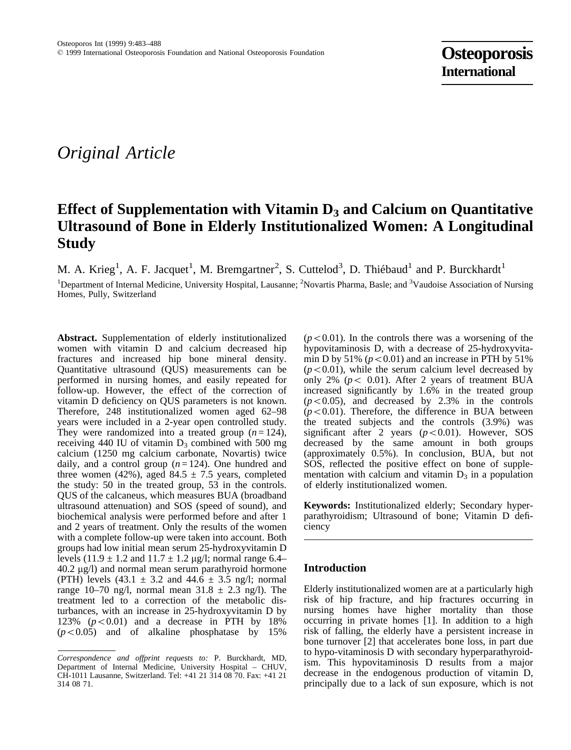# *Original Article*

# **Effect of Supplementation with Vitamin D<sub>3</sub> and Calcium on Quantitative Ultrasound of Bone in Elderly Institutionalized Women: A Longitudinal Study**

M. A. Krieg<sup>1</sup>, A. F. Jacquet<sup>1</sup>, M. Bremgartner<sup>2</sup>, S. Cuttelod<sup>3</sup>, D. Thiébaud<sup>1</sup> and P. Burckhardt<sup>1</sup>

<sup>1</sup>Department of Internal Medicine, University Hospital, Lausanne; <sup>2</sup>Novartis Pharma, Basle; and <sup>3</sup>Vaudoise Association of Nursing Homes, Pully, Switzerland

**Abstract.** Supplementation of elderly institutionalized women with vitamin D and calcium decreased hip fractures and increased hip bone mineral density. Quantitative ultrasound (QUS) measurements can be performed in nursing homes, and easily repeated for follow-up. However, the effect of the correction of vitamin D deficiency on QUS parameters is not known. Therefore, 248 institutionalized women aged 62–98 years were included in a 2-year open controlled study. They were randomized into a treated group  $(n=124)$ , receiving 440 IU of vitamin  $D_3$  combined with 500 mg calcium (1250 mg calcium carbonate, Novartis) twice daily, and a control group  $(n=124)$ . One hundred and three women (42%), aged 84.5  $\pm$  7.5 years, completed the study: 50 in the treated group, 53 in the controls. QUS of the calcaneus, which measures BUA (broadband ultrasound attenuation) and SOS (speed of sound), and biochemical analysis were performed before and after 1 and 2 years of treatment. Only the results of the women with a complete follow-up were taken into account. Both groups had low initial mean serum 25-hydroxyvitamin D levels (11.9  $\pm$  1.2 and 11.7  $\pm$  1.2 µg/l; normal range 6.4–  $40.2 \mu g/l$ ) and normal mean serum parathyroid hormone (PTH) levels  $(43.1 \pm 3.2 \text{ and } 44.6 \pm 3.5 \text{ ng/l}; \text{ normal}$ range 10–70 ng/l, normal mean  $31.8 \pm 2.3$  ng/l). The treatment led to a correction of the metabolic disturbances, with an increase in 25-hydroxyvitamin D by 123%  $(p<0.01)$  and a decrease in PTH by 18%  $(p<0.05)$  and of alkaline phosphatase by 15%

 $(p<0.01)$ . In the controls there was a worsening of the hypovitaminosis D, with a decrease of 25-hydroxyvitamin D by 51%  $(p<0.01)$  and an increase in PTH by 51%  $(p<0.01)$ , while the serum calcium level decreased by only 2% ( $p < 0.01$ ). After 2 years of treatment BUA increased significantly by 1.6% in the treated group  $(p<0.05)$ , and decreased by 2.3% in the controls  $(p<0.01)$ . Therefore, the difference in BUA between the treated subjects and the controls (3.9%) was significant after 2 years  $(p<0.01)$ . However, SOS decreased by the same amount in both groups (approximately 0.5%). In conclusion, BUA, but not SOS, reflected the positive effect on bone of supplementation with calcium and vitamin  $D_3$  in a population of elderly institutionalized women.

**Keywords:** Institutionalized elderly; Secondary hyperparathyroidism; Ultrasound of bone; Vitamin D deficiency

# **Introduction**

Elderly institutionalized women are at a particularly high risk of hip fracture, and hip fractures occurring in nursing homes have higher mortality than those occurring in private homes [1]. In addition to a high risk of falling, the elderly have a persistent increase in bone turnover [2] that accelerates bone loss, in part due to hypo-vitaminosis D with secondary hyperparathyroidism. This hypovitaminosis D results from a major decrease in the endogenous production of vitamin D, principally due to a lack of sun exposure, which is not

*Correspondence and offprint requests to:* P. Burckhardt, MD, Department of Internal Medicine, University Hospital – CHUV, CH-1011 Lausanne, Switzerland. Tel: +41 21 314 08 70. Fax: +41 21 314 08 71.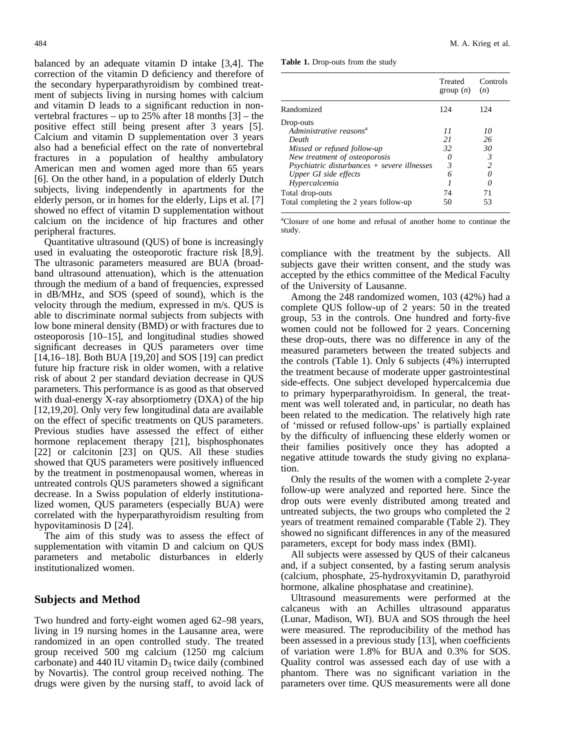balanced by an adequate vitamin D intake [3,4]. The correction of the vitamin D deficiency and therefore of the secondary hyperparathyroidism by combined treatment of subjects living in nursing homes with calcium and vitamin D leads to a significant reduction in nonvertebral fractures – up to 25% after 18 months [3] – the positive effect still being present after 3 years [5]. Calcium and vitamin D supplementation over 3 years also had a beneficial effect on the rate of nonvertebral fractures in a population of healthy ambulatory American men and women aged more than 65 years [6]. On the other hand, in a population of elderly Dutch subjects, living independently in apartments for the elderly person, or in homes for the elderly, Lips et al. [7] showed no effect of vitamin D supplementation without calcium on the incidence of hip fractures and other peripheral fractures.

Quantitative ultrasound (QUS) of bone is increasingly used in evaluating the osteoporotic fracture risk [8,9]. The ultrasonic parameters measured are BUA (broadband ultrasound attenuation), which is the attenuation through the medium of a band of frequencies, expressed in dB/MHz, and SOS (speed of sound), which is the velocity through the medium, expressed in m/s. QUS is able to discriminate normal subjects from subjects with low bone mineral density (BMD) or with fractures due to osteoporosis [10–15], and longitudinal studies showed significant decreases in QUS parameters over time [14,16–18]. Both BUA [19,20] and SOS [19] can predict future hip fracture risk in older women, with a relative risk of about 2 per standard deviation decrease in QUS parameters. This performance is as good as that observed with dual-energy X-ray absorptiometry (DXA) of the hip [12,19,20]. Only very few longitudinal data are available on the effect of specific treatments on QUS parameters. Previous studies have assessed the effect of either hormone replacement therapy [21], bisphosphonates [22] or calcitonin [23] on QUS. All these studies showed that QUS parameters were positively influenced by the treatment in postmenopausal women, whereas in untreated controls QUS parameters showed a significant decrease. In a Swiss population of elderly institutionalized women, QUS parameters (especially BUA) were correlated with the hyperparathyroidism resulting from hypovitaminosis D [24].

The aim of this study was to assess the effect of supplementation with vitamin D and calcium on QUS parameters and metabolic disturbances in elderly institutionalized women.

#### **Subjects and Method**

Two hundred and forty-eight women aged 62–98 years, living in 19 nursing homes in the Lausanne area, were randomized in an open controlled study. The treated group received 500 mg calcium (1250 mg calcium carbonate) and 440 IU vitamin  $D_3$  twice daily (combined by Novartis). The control group received nothing. The drugs were given by the nursing staff, to avoid lack of **Table 1.** Drop-outs from the study

|                                               | Treated<br>group $(n)$ | Controls<br>(n) |
|-----------------------------------------------|------------------------|-----------------|
| Randomized                                    | 124                    | 124             |
| Drop-outs                                     |                        |                 |
| Administrative reasons <sup>a</sup>           | 11                     | 10              |
| Death                                         | 21                     | 26              |
| Missed or refused follow-up                   | 32                     | 30              |
| New treatment of osteoporosis                 |                        | 3               |
| $Psychiatric$ disturbances + severe illnesses | 3                      | $\overline{c}$  |
| Upper GI side effects                         | 6                      |                 |
| Hypercalcemia                                 |                        | 0               |
| Total drop-outs                               | 74                     | 71              |
| Total completing the 2 years follow-up        | 50                     | 53              |

a Closure of one home and refusal of another home to continue the study.

compliance with the treatment by the subjects. All subjects gave their written consent, and the study was accepted by the ethics committee of the Medical Faculty of the University of Lausanne.

Among the 248 randomized women, 103 (42%) had a complete QUS follow-up of 2 years: 50 in the treated group, 53 in the controls. One hundred and forty-five women could not be followed for 2 years. Concerning these drop-outs, there was no difference in any of the measured parameters between the treated subjects and the controls (Table 1). Only 6 subjects (4%) interrupted the treatment because of moderate upper gastrointestinal side-effects. One subject developed hypercalcemia due to primary hyperparathyroidism. In general, the treatment was well tolerated and, in particular, no death has been related to the medication. The relatively high rate of 'missed or refused follow-ups' is partially explained by the difficulty of influencing these elderly women or their families positively once they has adopted a negative attitude towards the study giving no explanation.

Only the results of the women with a complete 2-year follow-up were analyzed and reported here. Since the drop outs were evenly distributed among treated and untreated subjects, the two groups who completed the 2 years of treatment remained comparable (Table 2). They showed no significant differences in any of the measured parameters, except for body mass index (BMI).

All subjects were assessed by QUS of their calcaneus and, if a subject consented, by a fasting serum analysis (calcium, phosphate, 25-hydroxyvitamin D, parathyroid hormone, alkaline phosphatase and creatinine).

Ultrasound measurements were performed at the calcaneus with an Achilles ultrasound apparatus (Lunar, Madison, WI). BUA and SOS through the heel were measured. The reproducibility of the method has been assessed in a previous study [13], when coefficients of variation were 1.8% for BUA and 0.3% for SOS. Quality control was assessed each day of use with a phantom. There was no significant variation in the parameters over time. QUS measurements were all done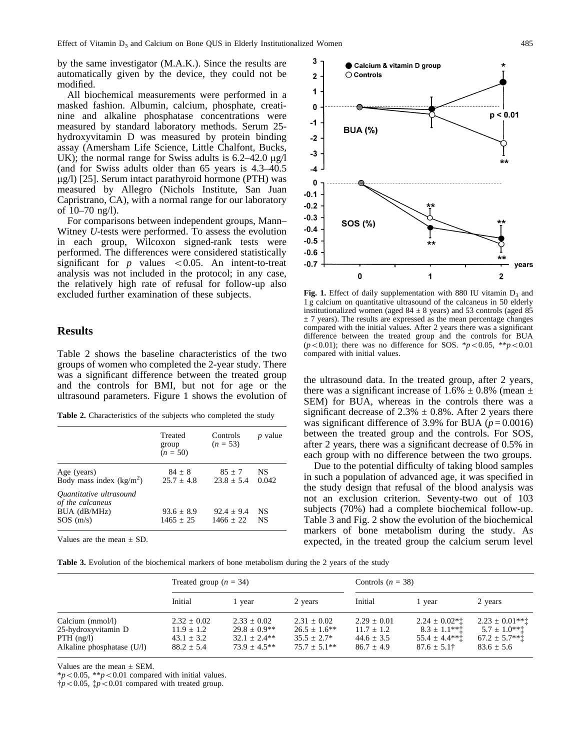by the same investigator (M.A.K.). Since the results are automatically given by the device, they could not be modified.

All biochemical measurements were performed in a masked fashion. Albumin, calcium, phosphate, creatinine and alkaline phosphatase concentrations were measured by standard laboratory methods. Serum 25 hydroxyvitamin D was measured by protein binding assay (Amersham Life Science, Little Chalfont, Bucks, UK); the normal range for Swiss adults is  $6.2-42.0 \text{ µg/l}$ (and for Swiss adults older than 65 years is 4.3–40.5  $\mu$ g/l) [25]. Serum intact parathyroid hormone (PTH) was measured by Allegro (Nichols Institute, San Juan Capristrano, CA), with a normal range for our laboratory of 10–70 ng/l).

For comparisons between independent groups, Mann– Witney *U*-tests were performed. To assess the evolution in each group, Wilcoxon signed-rank tests were performed. The differences were considered statistically significant for  $p$  values  $< 0.05$ . An intent-to-treat analysis was not included in the protocol; in any case, the relatively high rate of refusal for follow-up also excluded further examination of these subjects.

# **Results**

Table 2 shows the baseline characteristics of the two groups of women who completed the 2-year study. There was a significant difference between the treated group and the controls for BMI, but not for age or the ultrasound parameters. Figure 1 shows the evolution of

**Table 2.** Characteristics of the subjects who completed the study

|                                                                         | Treated<br>group<br>$(n = 50)$ | Controls<br>$(n = 53)$      | <i>p</i> value     |
|-------------------------------------------------------------------------|--------------------------------|-----------------------------|--------------------|
| Age (years)<br>Body mass index $(kg/m2)$                                | $84 + 8$<br>$25.7 + 4.8$       | $85 + 7$<br>$23.8 + 5.4$    | <b>NS</b><br>0.042 |
| Ouantitative ultrasound<br>of the calcaneus<br>BUA (dB/MHz)<br>SOS(m/s) | $93.6 + 8.9$<br>$1465 + 25$    | $92.4 + 9.4$<br>$1466 + 22$ | NS<br><b>NS</b>    |

Values are the mean  $\pm$  SD.

**Table 3.** Evolution of the biochemical markers of bone metabolism during the 2 years of the study



Fig. 1. Effect of daily supplementation with 880 IU vitamin D<sub>3</sub> and 1 g calcium on quantitative ultrasound of the calcaneus in 50 elderly institutionalized women (aged  $84 \pm 8$  years) and 53 controls (aged  $85$  $\pm$  7 years). The results are expressed as the mean percentage changes compared with the initial values. After 2 years there was a significant difference between the treated group and the controls for BUA  $(p<0.01)$ ; there was no difference for SOS.  $p<0.05$ ,  $*p<0.01$ compared with initial values.

the ultrasound data. In the treated group, after 2 years, there was a significant increase of 1.6%  $\pm$  0.8% (mean  $\pm$ SEM) for BUA, whereas in the controls there was a significant decrease of  $2.3\% \pm 0.8\%$ . After 2 years there was significant difference of 3.9% for BUA  $(p=0.0016)$ between the treated group and the controls. For SOS, after 2 years, there was a significant decrease of 0.5% in each group with no difference between the two groups.

Due to the potential difficulty of taking blood samples in such a population of advanced age, it was specified in the study design that refusal of the blood analysis was not an exclusion criterion. Seventy-two out of 103 subjects (70%) had a complete biochemical follow-up. Table 3 and Fig. 2 show the evolution of the biochemical markers of bone metabolism during the study. As expected, in the treated group the calcium serum level

|                                                                                         | Treated group ( $n = 34$ )                                            |                                                                           | Controls $(n = 38)$                                                        |                                                                     |                                                                                |                                                                                |
|-----------------------------------------------------------------------------------------|-----------------------------------------------------------------------|---------------------------------------------------------------------------|----------------------------------------------------------------------------|---------------------------------------------------------------------|--------------------------------------------------------------------------------|--------------------------------------------------------------------------------|
|                                                                                         | Initial                                                               | l year                                                                    | 2 years                                                                    | Initial                                                             | l year                                                                         | 2 years                                                                        |
| Calcium (mmol/l)<br>25-hydroxyvitamin D<br>PTH $(ng/l)$<br>Alkaline phosphatase $(U/I)$ | $2.32 \pm 0.02$<br>$11.9 \pm 1.2$<br>$43.1 \pm 3.2$<br>$88.2 \pm 5.4$ | $2.33 \pm 0.02$<br>$29.8 \pm 0.9**$<br>$32.1 \pm 2.4**$<br>$73.9 + 4.5**$ | $2.31 \pm 0.02$<br>$26.5 \pm 1.6$ **<br>$35.5 \pm 2.7^*$<br>$75.7 + 5.1**$ | $2.29 \pm 0.01$<br>$11.7 \pm 1.2$<br>$44.6 \pm 3.5$<br>$86.7 + 4.9$ | $2.24 \pm 0.02$ *†<br>$8.3 \pm 1.1***$<br>$55.4 \pm 4.4**$<br>$87.6 \pm 5.1$ † | $2.23 \pm 0.01***$<br>$5.7 \pm 1.0**1$<br>$67.2 \pm 5.7$ **†<br>$83.6 \pm 5.6$ |

Values are the mean  $\pm$  SEM.

 $*p<0.05$ ,  $**p<0.01$  compared with initial values.

 $\frac{1}{2}p < 0.05$ ,  $\frac{1}{2}p < 0.01$  compared with treated group.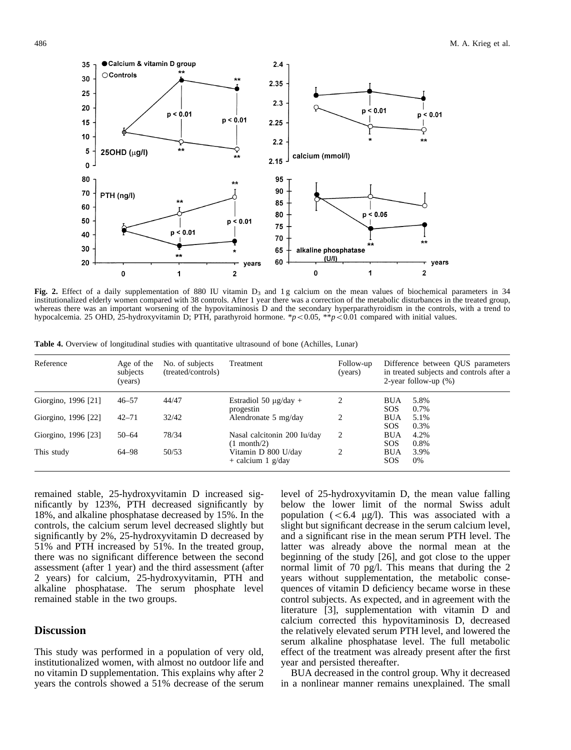

**Fig.** 2. Effect of a daily supplementation of 880 IU vitamin D<sub>3</sub> and 1 g calcium on the mean values of biochemical parameters in 34 institutionalized elderly women compared with 38 controls. After 1 year there was a correction of the metabolic disturbances in the treated group, whereas there was an important worsening of the hypovitaminosis D and the secondary hyperparathyroidism in the controls, with a trend to hypocalcemia. 25 OHD, 25-hydroxyvitamin D; PTH, parathyroid hormone. \* $p < 0.05$ , \*\* $p < 0.01$  compared with initial values.

**Table 4.** Overview of longitudinal studies with quantitative ultrasound of bone (Achilles, Lunar)

| Reference           | Age of the<br>subjects<br>(years) | No. of subjects<br>(treated/controls) | Treatment                                    | Follow-up<br>(years) | Difference between QUS parameters<br>in treated subjects and controls after a<br>2-year follow-up $(\%)$ |              |
|---------------------|-----------------------------------|---------------------------------------|----------------------------------------------|----------------------|----------------------------------------------------------------------------------------------------------|--------------|
| Giorgino, 1996 [21] | $46 - 57$                         | 44/47                                 | Estradiol 50 $\mu$ g/day +<br>progestin      | 2                    | <b>BUA</b><br><b>SOS</b>                                                                                 | 5.8%<br>0.7% |
| Giorgino, 1996 [22] | $42 - 71$                         | 32/42                                 | Alendronate 5 mg/day                         | 2                    | <b>BUA</b><br><b>SOS</b>                                                                                 | 5.1%<br>0.3% |
| Giorgino, 1996 [23] | $50 - 64$                         | 78/34                                 | Nasal calcitonin 200 Iu/day<br>$(1$ month/2) | 2                    | <b>BUA</b><br><b>SOS</b>                                                                                 | 4.2%<br>0.8% |
| This study          | 64–98                             | 50/53                                 | Vitamin D 800 U/day<br>$+$ calcium 1 g/day   | 2                    | <b>BUA</b><br><b>SOS</b>                                                                                 | 3.9%<br>0%   |

remained stable, 25-hydroxyvitamin D increased significantly by 123%, PTH decreased significantly by 18%, and alkaline phosphatase decreased by 15%. In the controls, the calcium serum level decreased slightly but significantly by 2%, 25-hydroxyvitamin D decreased by 51% and PTH increased by 51%. In the treated group, there was no significant difference between the second assessment (after 1 year) and the third assessment (after 2 years) for calcium, 25-hydroxyvitamin, PTH and alkaline phosphatase. The serum phosphate level remained stable in the two groups.

## **Discussion**

This study was performed in a population of very old, institutionalized women, with almost no outdoor life and no vitamin D supplementation. This explains why after 2 years the controls showed a 51% decrease of the serum level of 25-hydroxyvitamin D, the mean value falling below the lower limit of the normal Swiss adult population  $(<6.4 \text{ }\mu\text{g/l})$ . This was associated with a slight but significant decrease in the serum calcium level, and a significant rise in the mean serum PTH level. The latter was already above the normal mean at the beginning of the study [26], and got close to the upper normal limit of 70 pg/l. This means that during the 2 years without supplementation, the metabolic consequences of vitamin D deficiency became worse in these control subjects. As expected, and in agreement with the literature [3], supplementation with vitamin D and calcium corrected this hypovitaminosis D, decreased the relatively elevated serum PTH level, and lowered the serum alkaline phosphatase level. The full metabolic effect of the treatment was already present after the first year and persisted thereafter.

BUA decreased in the control group. Why it decreased in a nonlinear manner remains unexplained. The small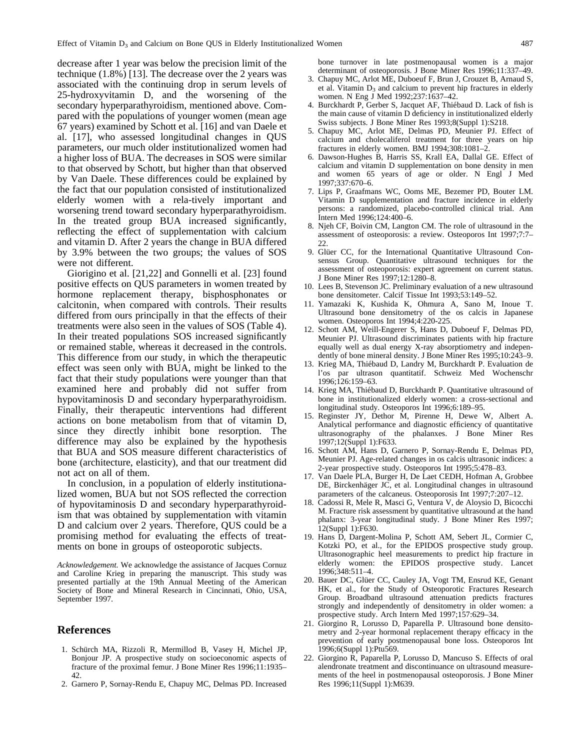decrease after 1 year was below the precision limit of the technique (1.8%) [13]. The decrease over the 2 years was associated with the continuing drop in serum levels of 25-hydroxyvitamin D, and the worsening of the secondary hyperparathyroidism, mentioned above. Compared with the populations of younger women (mean age 67 years) examined by Schott et al. [16] and van Daele et al. [17], who assessed longitudinal changes in QUS parameters, our much older institutionalized women had a higher loss of BUA. The decreases in SOS were similar to that observed by Schott, but higher than that observed by Van Daele. These differences could be explained by the fact that our population consisted of institutionalized elderly women with a rela-tively important and worsening trend toward secondary hyperparathyroidism. In the treated group BUA increased significantly, reflecting the effect of supplementation with calcium and vitamin D. After 2 years the change in BUA differed by 3.9% between the two groups; the values of SOS were not different.

Giorigino et al. [21,22] and Gonnelli et al. [23] found positive effects on QUS parameters in women treated by hormone replacement therapy, bisphosphonates or calcitonin, when compared with controls. Their results differed from ours principally in that the effects of their treatments were also seen in the values of SOS (Table 4). In their treated populations SOS increased significantly or remained stable, whereas it decreased in the controls. This difference from our study, in which the therapeutic effect was seen only with BUA, might be linked to the fact that their study populations were younger than that examined here and probably did not suffer from hypovitaminosis D and secondary hyperparathyroidism. Finally, their therapeutic interventions had different actions on bone metabolism from that of vitamin D, since they directly inhibit bone resorption. The difference may also be explained by the hypothesis that BUA and SOS measure different characteristics of bone (architecture, elasticity), and that our treatment did not act on all of them.

In conclusion, in a population of elderly institutionalized women, BUA but not SOS reflected the correction of hypovitaminosis D and secondary hyperparathyroidism that was obtained by supplementation with vitamin D and calcium over 2 years. Therefore, QUS could be a promising method for evaluating the effects of treatments on bone in groups of osteoporotic subjects.

*Acknowledgement.* We acknowledge the assistance of Jacques Cornuz and Caroline Krieg in preparing the manuscript. This study was presented partially at the 19th Annual Meeting of the American Society of Bone and Mineral Research in Cincinnati, Ohio, USA, September 1997.

# **References**

- 1. Schürch MA, Rizzoli R, Mermillod B, Vasey H, Michel JP, Bonjour JP. A prospective study on socioeconomic aspects of fracture of the proximal femur. J Bone Miner Res 1996;11:1935– 42.
- 2. Garnero P, Sornay-Rendu E, Chapuy MC, Delmas PD. Increased

bone turnover in late postmenopausal women is a major determinant of osteoporosis. J Bone Miner Res 1996;11:337–49.

- 3. Chapuy MC, Arlot ME, Duboeuf F, Brun J, Crouzet B, Arnaud S, et al. Vitamin  $D_3$  and calcium to prevent hip fractures in elderly women. N Eng J Med 1992;237:1637–42.
- 4. Burckhardt P, Gerber S, Jacquet AF, Thiébaud D. Lack of fish is the main cause of vitamin D deficiency in institutionalized elderly Swiss subjects. J Bone Miner Res 1993;8(Suppl 1):S218.
- 5. Chapuy MC, Arlot ME, Delmas PD, Meunier PJ. Effect of calcium and cholecaliferol treatment for three years on hip fractures in elderly women. BMJ 1994;308:1081–2.
- 6. Dawson-Hughes B, Harris SS, Krall EA, Dallal GE. Effect of calcium and vitamin D supplementation on bone density in men and women 65 years of age or older. N Engl J Med 1997;337:670–6.
- 7. Lips P, Graafmans WC, Ooms ME, Bezemer PD, Bouter LM. Vitamin D supplementation and fracture incidence in elderly persons: a randomized, placebo-controlled clinical trial. Ann Intern Med 1996;124:400–6.
- 8. Njeh CF, Boivin CM, Langton CM. The role of ultrasound in the assessment of osteoporosis: a review. Osteoporos Int 1997;7:7–  $22.2$
- 9. Glüer CC, for the International Quantitative Ultrasound Consensus Group. Quantitative ultrasound techniques for the assessment of osteoporosis: expert agreement on current status. J Bone Miner Res 1997;12:1280–8.
- 10. Lees B, Stevenson JC. Preliminary evaluation of a new ultrasound bone densitometer. Calcif Tissue Int 1993;53:149–52.
- 11. Yamazaki K, Kushida K, Ohmura A, Sano M, Inoue T. Ultrasound bone densitometry of the os calcis in Japanese women. Osteoporos Int 1994;4:220-225.
- 12. Schott AM, Weill-Engerer S, Hans D, Duboeuf F, Delmas PD, Meunier PJ. Ultrasound discriminates patients with hip fracture equally well as dual energy X-ray absorptiometry and independently of bone mineral density. J Bone Miner Res 1995;10:243–9.
- 13. Krieg MA, Thiébaud D, Landry M, Burckhardt P. Evaluation de l'os par ultrason quantitatif. Schweiz Med Wochenschr 1996;126:159–63.
- 14. Krieg MA, Thiébaud D, Burckhardt P. Quantitative ultrasound of bone in institutionalized elderly women: a cross-sectional and longitudinal study. Osteoporos Int 1996;6:189–95.
- 15. Reginster JY, Dethor M, Pirenne H, Dewe W, Albert A. Analytical performance and diagnostic efficiency of quantitative ultrasonography of the phalanxes. J Bone Miner Res 1997;12(Suppl 1):F633.
- 16. Schott AM, Hans D, Garnero P, Sornay-Rendu E, Delmas PD, Meunier PJ. Age-related changes in os calcis ultrasonic indices: a 2-year prospective study. Osteoporos Int 1995;5:478–83.
- 17. Van Daele PLA, Burger H, De Laet CEDH, Hofman A, Grobbee DE, Birckenhäger JC, et al. Longitudinal changes in ultrasound parameters of the calcaneus. Osteoporosis Int 1997;7:207–12.
- 18. Cadossi R, Mele R, Masci G, Ventura V, de Aloysio D, Bicocchi M. Fracture risk assessment by quantitative ultrasound at the hand phalanx: 3-year longitudinal study. J Bone Miner Res 1997; 12(Suppl 1):F630.
- 19. Hans D, Dargent-Molina P, Schott AM, Sebert JL, Cormier C, Kotzki PO, et al., for the EPIDOS prospective study group. Ultrasonographic heel measurements to predict hip fracture in elderly women: the EPIDOS prospective study. Lancet 1996;348:511–4.
- 20. Bauer DC, Glüer CC, Cauley JA, Vogt TM, Ensrud KE, Genant HK, et al., for the Study of Osteoporotic Fractures Research Group. Broadband ultrasound attenuation predicts fractures strongly and independently of densitometry in older women: a prospective study. Arch Intern Med 1997;157:629–34.
- 21. Giorgino R, Lorusso D, Paparella P. Ultrasound bone densitometry and 2-year hormonal replacement therapy efficacy in the prevention of early postmenopausal bone loss. Osteoporos Int 1996;6(Suppl 1):Ptu569.
- 22. Giorgino R, Paparella P, Lorusso D, Mancuso S. Effects of oral alendronate treatment and discontinuance on ultrasound measurements of the heel in postmenopausal osteoporosis. J Bone Miner Res 1996;11(Suppl 1):M639.